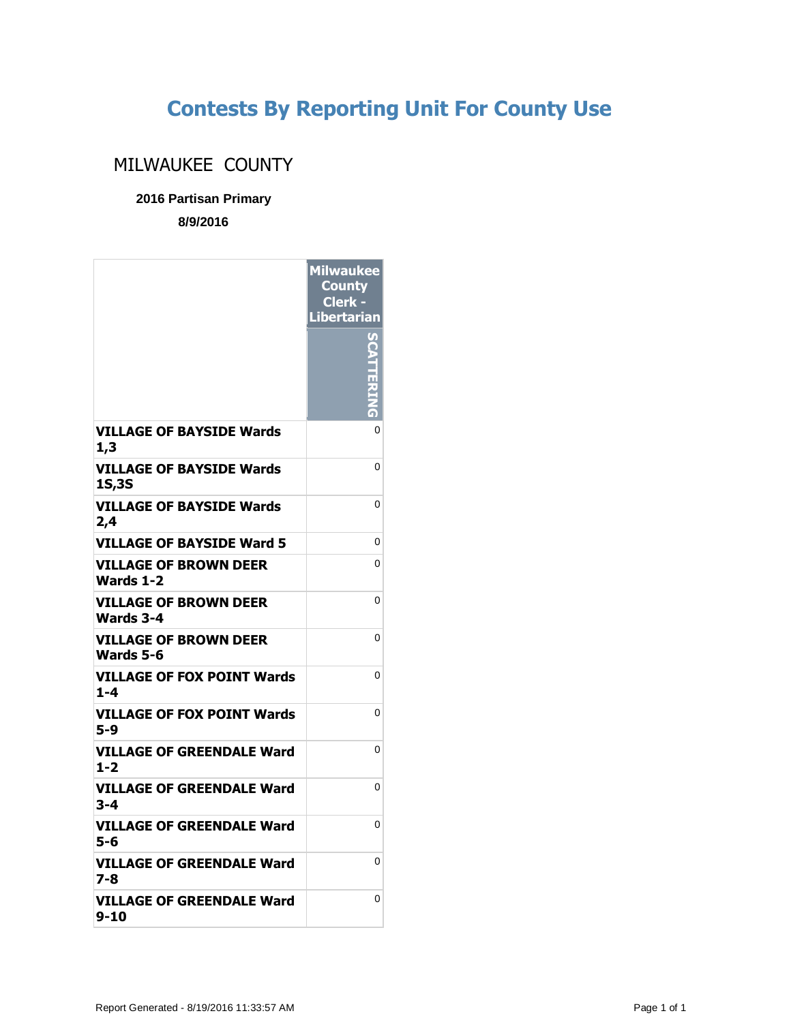## **Contests By Reporting Unit For County Use**

## MILWAUKEE COUNTY

**2016 Partisan Primary**

**8/9/2016**

|                                                  | <b>Milwaukee</b><br><b>County</b><br>Clerk -<br><b>Libertarian</b> |
|--------------------------------------------------|--------------------------------------------------------------------|
|                                                  |                                                                    |
| VILLAGE OF BAYSIDE Wards<br>1,3                  | 0                                                                  |
| <b>VILLAGE OF BAYSIDE Wards</b><br><b>1S,3S</b>  | 0                                                                  |
| <b>VILLAGE OF BAYSIDE Wards</b><br>2,4           | 0                                                                  |
| <b>VILLAGE OF BAYSIDE Ward 5</b>                 | 0                                                                  |
| VILLAGE OF BROWN DEER<br>Wards 1-2               | 0                                                                  |
| <b>VILLAGE OF BROWN DEER</b><br><b>Wards 3-4</b> | 0                                                                  |
| <b>VILLAGE OF BROWN DEER</b><br>Wards 5-6        | 0                                                                  |
| <b>VILLAGE OF FOX POINT Wards</b><br>$1 - 4$     | 0                                                                  |
| <b>VILLAGE OF FOX POINT Wards</b><br>5-9         | 0                                                                  |
| VILLAGE OF GREENDALE Ward<br>$1 - 2$             | 0                                                                  |
| <b>VILLAGE OF GREENDALE Ward</b><br>3-4          | 0                                                                  |
| <b>VILLAGE OF GREENDALE Ward</b><br>5-6          | 0                                                                  |
| VILLAGE OF GREENDALE Ward<br>7-8                 | 0                                                                  |
| VILLAGE OF GREENDALE Ward<br>9-10                | 0                                                                  |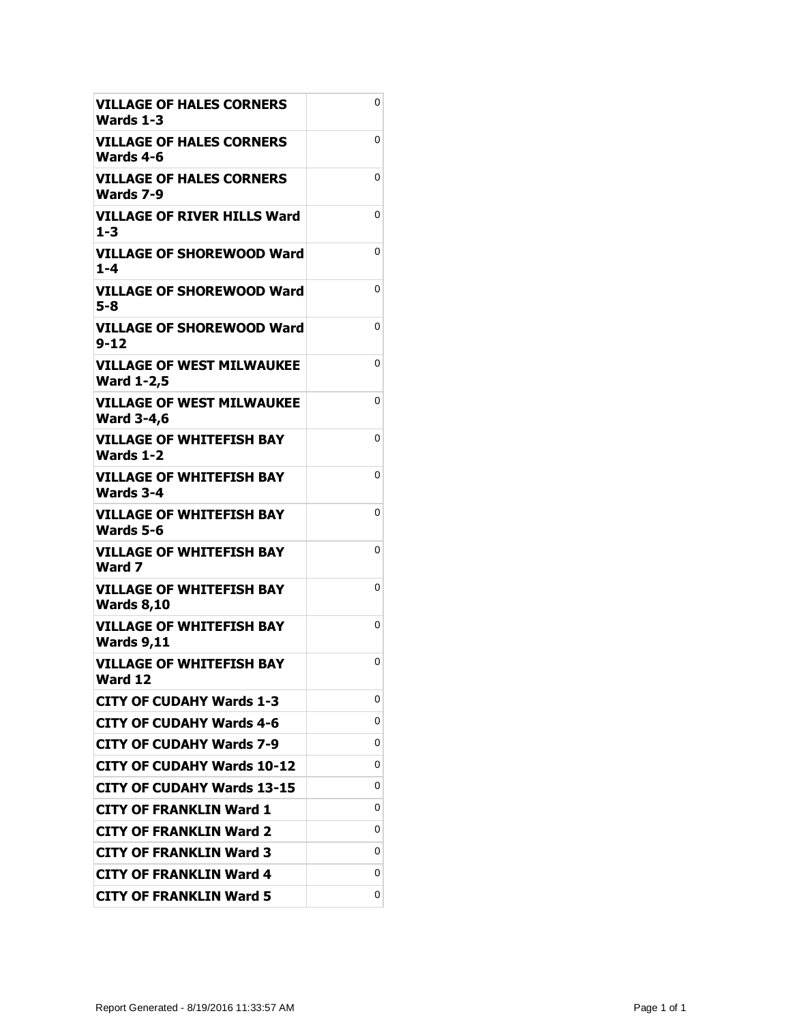| <b>VILLAGE OF HALES CORNERS</b><br>Wards 1-3          | 0 |
|-------------------------------------------------------|---|
| <b>VILLAGE OF HALES CORNERS</b><br>Wards 4-6          | 0 |
| VILLAGE OF HALES CORNERS<br>Wards 7-9                 | 0 |
| VILLAGE OF RIVER HILLS Ward<br>$1 - 3$                | 0 |
| VILLAGE OF SHOREWOOD Ward<br>$1 - 4$                  | 0 |
| <b>VILLAGE OF SHOREWOOD Ward</b><br>$5 - 8$           | 0 |
| VILLAGE OF SHOREWOOD Ward<br>$9 - 12$                 | 0 |
| <b>VILLAGE OF WEST MILWAUKEE</b><br><b>Ward 1-2,5</b> | 0 |
| <b>VILLAGE OF WEST MILWAUKEE</b><br><b>Ward 3-4,6</b> | 0 |
| <b>VILLAGE OF WHITEFISH BAY</b><br><b>Wards 1-2</b>   | 0 |
| <b>VILLAGE OF WHITEFISH BAY</b><br>Wards 3-4          | 0 |
| <b>VILLAGE OF WHITEFISH BAY</b><br>Wards 5-6          | 0 |
| <b>VILLAGE OF WHITEFISH BAY</b><br>Ward 7             | 0 |
| <b>VILLAGE OF WHITEFISH BAY</b><br><b>Wards 8,10</b>  | 0 |
| <b>VILLAGE OF WHITEFISH BAY</b><br><b>Wards 9,11</b>  | 0 |
| <b>VILLAGE OF WHITEFISH BAY</b><br>Ward 12            | 0 |
| <b>CITY OF CUDAHY Wards 1-3</b>                       | 0 |
| <b>CITY OF CUDAHY Wards 4-6</b>                       | 0 |
| <b>CITY OF CUDAHY Wards 7-9</b>                       | 0 |
| <b>CITY OF CUDAHY Wards 10-12</b>                     | 0 |
| <b>CITY OF CUDAHY Wards 13-15</b>                     | 0 |
| <b>CITY OF FRANKLIN Ward 1</b>                        | 0 |
| <b>CITY OF FRANKLIN Ward 2</b>                        | 0 |
| <b>CITY OF FRANKLIN Ward 3</b>                        | 0 |
| <b>CITY OF FRANKLIN Ward 4</b>                        | 0 |
| <b>CITY OF FRANKLIN Ward 5</b>                        | 0 |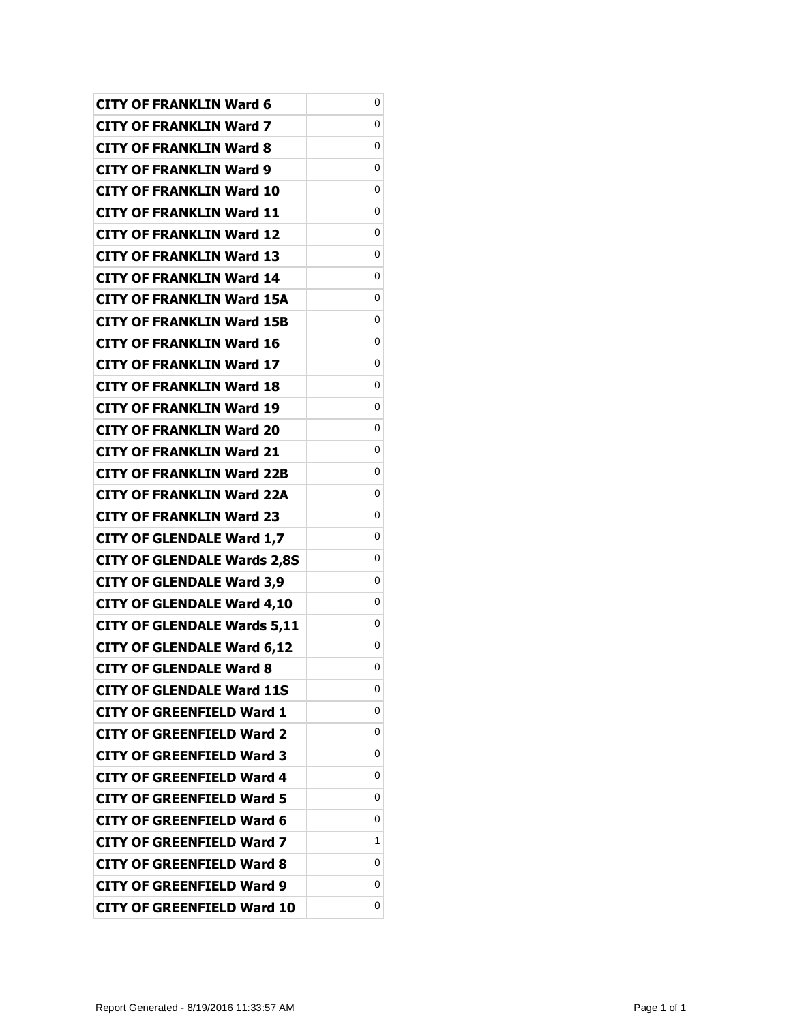| <b>CITY OF FRANKLIN Ward 6</b>     | 0 |
|------------------------------------|---|
| <b>CITY OF FRANKLIN Ward 7</b>     | 0 |
| <b>CITY OF FRANKLIN Ward 8</b>     | 0 |
| <b>CITY OF FRANKLIN Ward 9</b>     | 0 |
| <b>CITY OF FRANKLIN Ward 10</b>    | 0 |
| <b>CITY OF FRANKLIN Ward 11</b>    | 0 |
| <b>CITY OF FRANKLIN Ward 12</b>    | 0 |
| <b>CITY OF FRANKLIN Ward 13</b>    | 0 |
| <b>CITY OF FRANKLIN Ward 14</b>    | 0 |
| <b>CITY OF FRANKLIN Ward 15A</b>   | 0 |
| <b>CITY OF FRANKLIN Ward 15B</b>   | 0 |
| <b>CITY OF FRANKLIN Ward 16</b>    | 0 |
| <b>CITY OF FRANKLIN Ward 17</b>    | 0 |
| <b>CITY OF FRANKLIN Ward 18</b>    | 0 |
| <b>CITY OF FRANKLIN Ward 19</b>    | 0 |
| <b>CITY OF FRANKLIN Ward 20</b>    | 0 |
| <b>CITY OF FRANKLIN Ward 21</b>    | 0 |
| <b>CITY OF FRANKLIN Ward 22B</b>   | 0 |
| <b>CITY OF FRANKLIN Ward 22A</b>   | 0 |
| <b>CITY OF FRANKLIN Ward 23</b>    | 0 |
| <b>CITY OF GLENDALE Ward 1,7</b>   | 0 |
| <b>CITY OF GLENDALE Wards 2,8S</b> | 0 |
| <b>CITY OF GLENDALE Ward 3,9</b>   | 0 |
| <b>CITY OF GLENDALE Ward 4,10</b>  | 0 |
| <b>CITY OF GLENDALE Wards 5,11</b> | 0 |
| <b>CITY OF GLENDALE Ward 6,12</b>  | 0 |
| <b>CITY OF GLENDALE Ward 8</b>     | 0 |
| <b>CITY OF GLENDALE Ward 11S</b>   | 0 |
| <b>CITY OF GREENFIELD Ward 1</b>   | 0 |
| CITY OF GREENFIELD Ward 2          | 0 |
| CITY OF GREENFIELD Ward 3          | 0 |
| <b>CITY OF GREENFIELD Ward 4</b>   | 0 |
| CITY OF GREENFIELD Ward 5          | 0 |
| CITY OF GREENFIELD Ward 6          | 0 |
| CITY OF GREENFIELD Ward 7          | 1 |
| <b>CITY OF GREENFIELD Ward 8</b>   | 0 |
| CITY OF GREENFIELD Ward 9          | 0 |
| <b>CITY OF GREENFIELD Ward 10</b>  | 0 |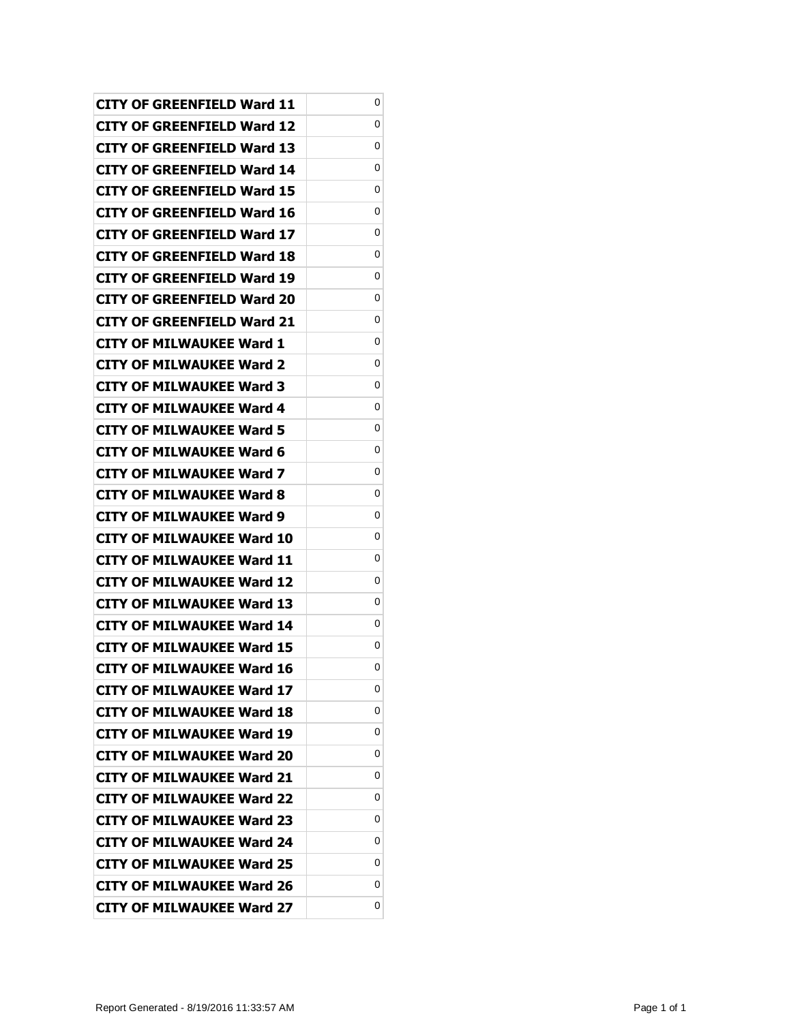| CITY OF GREENFIELD Ward 11        | 0 |
|-----------------------------------|---|
| CITY OF GREENFIELD Ward 12        | 0 |
| CITY OF GREENFIELD Ward 13        | 0 |
| CITY OF GREENFIELD Ward 14        | 0 |
| CITY OF GREENFIELD Ward 15        | 0 |
| CITY OF GREENFIELD Ward 16        | 0 |
| CITY OF GREENFIELD Ward 17        | 0 |
| CITY OF GREENFIELD Ward 18        | 0 |
| CITY OF GREENFIELD Ward 19        | 0 |
| CITY OF GREENFIELD Ward 20        | 0 |
| <b>CITY OF GREENFIELD Ward 21</b> | 0 |
| <b>CITY OF MILWAUKEE Ward 1</b>   | 0 |
| CITY OF MILWAUKEE Ward 2          | 0 |
| CITY OF MILWAUKEE Ward 3          | 0 |
| <b>CITY OF MILWAUKEE Ward 4</b>   | 0 |
| <b>CITY OF MILWAUKEE Ward 5</b>   | 0 |
| <b>CITY OF MILWAUKEE Ward 6</b>   | 0 |
| CITY OF MILWAUKEE Ward 7          | 0 |
| CITY OF MILWAUKEE Ward 8          | 0 |
| <b>CITY OF MILWAUKEE Ward 9</b>   | 0 |
| <b>CITY OF MILWAUKEE Ward 10</b>  | 0 |
| <b>CITY OF MILWAUKEE Ward 11</b>  | 0 |
| CITY OF MILWAUKEE Ward 12         | 0 |
| <b>CITY OF MILWAUKEE Ward 13</b>  | 0 |
| <b>CITY OF MILWAUKEE Ward 14</b>  | 0 |
| <b>CITY OF MILWAUKEE Ward 15</b>  | 0 |
| <b>CITY OF MILWAUKEE Ward 16</b>  | 0 |
| <b>CITY OF MILWAUKEE Ward 17</b>  | 0 |
| <b>CITY OF MILWAUKEE Ward 18</b>  | 0 |
| <b>CITY OF MILWAUKEE Ward 19</b>  | 0 |
| <b>CITY OF MILWAUKEE Ward 20</b>  | 0 |
| <b>CITY OF MILWAUKEE Ward 21</b>  | 0 |
| CITY OF MILWAUKEE Ward 22         | 0 |
| <b>CITY OF MILWAUKEE Ward 23</b>  | 0 |
| <b>CITY OF MILWAUKEE Ward 24</b>  | 0 |
| <b>CITY OF MILWAUKEE Ward 25</b>  | 0 |
| <b>CITY OF MILWAUKEE Ward 26</b>  | 0 |
| <b>CITY OF MILWAUKEE Ward 27</b>  | 0 |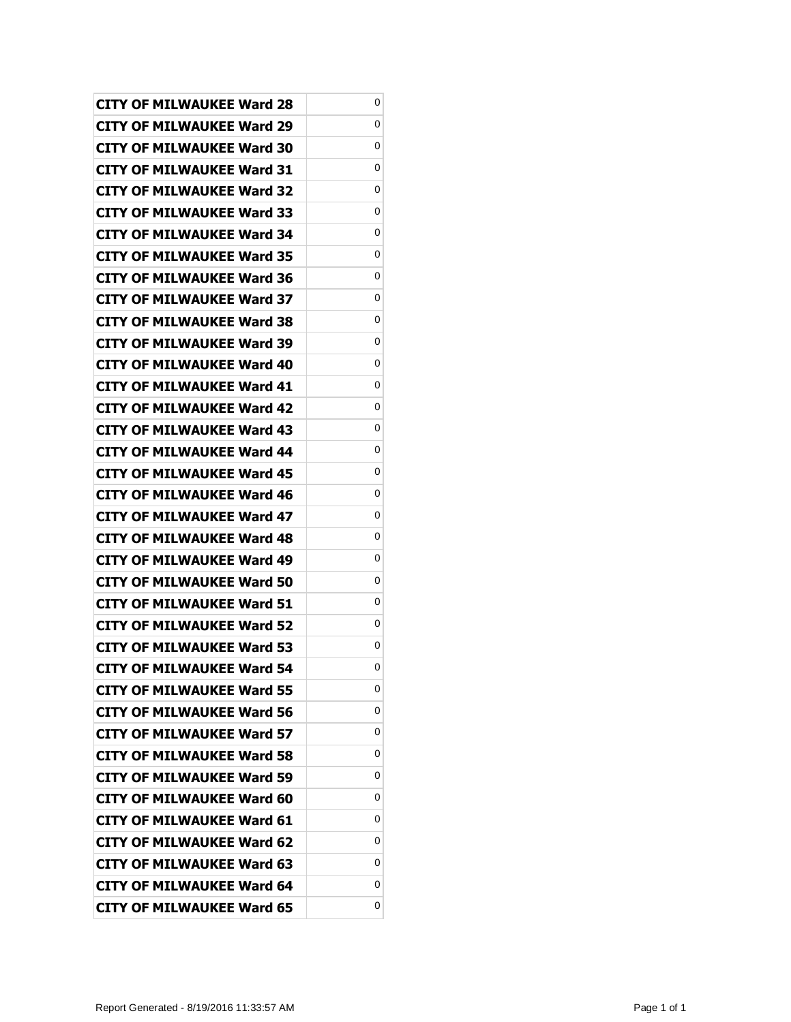| <b>CITY OF MILWAUKEE Ward 28</b> | 0 |
|----------------------------------|---|
| CITY OF MILWAUKEE Ward 29        | 0 |
| CITY OF MILWAUKEE Ward 30        | 0 |
| <b>CITY OF MILWAUKEE Ward 31</b> | 0 |
| <b>CITY OF MILWAUKEE Ward 32</b> | 0 |
| <b>CITY OF MILWAUKEE Ward 33</b> | 0 |
| <b>CITY OF MILWAUKEE Ward 34</b> | 0 |
| CITY OF MILWAUKEE Ward 35        | 0 |
| <b>CITY OF MILWAUKEE Ward 36</b> | 0 |
| <b>CITY OF MILWAUKEE Ward 37</b> | 0 |
| <b>CITY OF MILWAUKEE Ward 38</b> | 0 |
| CITY OF MILWAUKEE Ward 39        | 0 |
| CITY OF MILWAUKEE Ward 40        | 0 |
| <b>CITY OF MILWAUKEE Ward 41</b> | 0 |
| <b>CITY OF MILWAUKEE Ward 42</b> | 0 |
| <b>CITY OF MILWAUKEE Ward 43</b> | 0 |
| CITY OF MILWAUKEE Ward 44        | 0 |
| <b>CITY OF MILWAUKEE Ward 45</b> | 0 |
| <b>CITY OF MILWAUKEE Ward 46</b> | 0 |
| <b>CITY OF MILWAUKEE Ward 47</b> | 0 |
| <b>CITY OF MILWAUKEE Ward 48</b> | 0 |
| <b>CITY OF MILWAUKEE Ward 49</b> | 0 |
| <b>CITY OF MILWAUKEE Ward 50</b> | 0 |
| <b>CITY OF MILWAUKEE Ward 51</b> | 0 |
| <b>CITY OF MILWAUKEE Ward 52</b> | 0 |
| <b>CITY OF MILWAUKEE Ward 53</b> | 0 |
| <b>CITY OF MILWAUKEE Ward 54</b> | 0 |
| <b>CITY OF MILWAUKEE Ward 55</b> | 0 |
| <b>CITY OF MILWAUKEE Ward 56</b> | 0 |
| <b>CITY OF MILWAUKEE Ward 57</b> | 0 |
| <b>CITY OF MILWAUKEE Ward 58</b> | 0 |
| <b>CITY OF MILWAUKEE Ward 59</b> | 0 |
| <b>CITY OF MILWAUKEE Ward 60</b> | 0 |
| <b>CITY OF MILWAUKEE Ward 61</b> | 0 |
| <b>CITY OF MILWAUKEE Ward 62</b> | 0 |
| <b>CITY OF MILWAUKEE Ward 63</b> | 0 |
| <b>CITY OF MILWAUKEE Ward 64</b> | 0 |
| <b>CITY OF MILWAUKEE Ward 65</b> | 0 |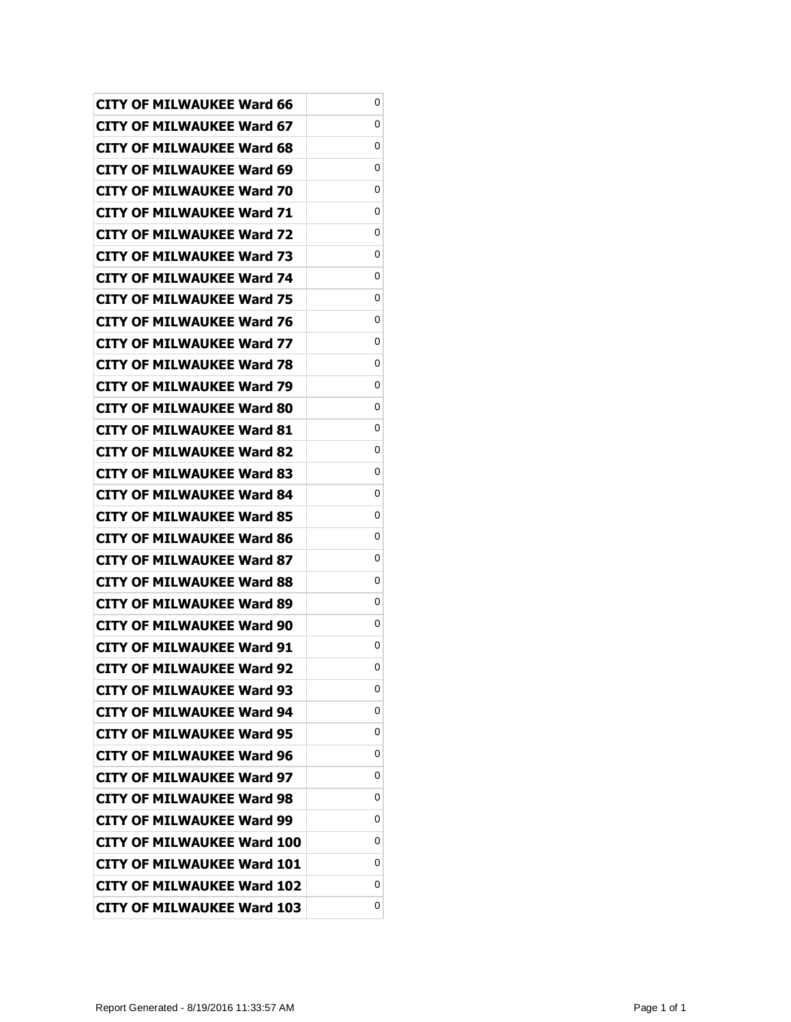| <b>CITY OF MILWAUKEE Ward 66</b>  | 0 |
|-----------------------------------|---|
| CITY OF MILWAUKEE Ward 67         | 0 |
| <b>CITY OF MILWAUKEE Ward 68</b>  | 0 |
| <b>CITY OF MILWAUKEE Ward 69</b>  | 0 |
| <b>CITY OF MILWAUKEE Ward 70</b>  | 0 |
| CITY OF MILWAUKEE Ward 71         | 0 |
| CITY OF MILWAUKEE Ward 72         | 0 |
| <b>CITY OF MILWAUKEE Ward 73</b>  | 0 |
| <b>CITY OF MILWAUKEE Ward 74</b>  | 0 |
| CITY OF MILWAUKEE Ward 75         | 0 |
| <b>CITY OF MILWAUKEE Ward 76</b>  | 0 |
| <b>CITY OF MILWAUKEE Ward 77</b>  | 0 |
| <b>CITY OF MILWAUKEE Ward 78</b>  | 0 |
| CITY OF MILWAUKEE Ward 79         | 0 |
| <b>CITY OF MILWAUKEE Ward 80</b>  | 0 |
| CITY OF MILWAUKEE Ward 81         | 0 |
| CITY OF MILWAUKEE Ward 82         | 0 |
| CITY OF MILWAUKEE Ward 83         | 0 |
| <b>CITY OF MILWAUKEE Ward 84</b>  | 0 |
| CITY OF MILWAUKEE Ward 85         | 0 |
| <b>CITY OF MILWAUKEE Ward 86</b>  | 0 |
| CITY OF MILWAUKEE Ward 87         | 0 |
| CITY OF MILWAUKEE Ward 88         | 0 |
| CITY OF MILWAUKEE Ward 89         | 0 |
| CITY OF MILWAUKEE Ward 90         | 0 |
| <b>CITY OF MILWAUKEE Ward 91</b>  | 0 |
| <b>CITY OF MILWAUKEE Ward 92</b>  | 0 |
| <b>CITY OF MILWAUKEE Ward 93</b>  | 0 |
| <b>CITY OF MILWAUKEE Ward 94</b>  | 0 |
| <b>CITY OF MILWAUKEE Ward 95</b>  | 0 |
| <b>CITY OF MILWAUKEE Ward 96</b>  | 0 |
| <b>CITY OF MILWAUKEE Ward 97</b>  | 0 |
| <b>CITY OF MILWAUKEE Ward 98</b>  | 0 |
| <b>CITY OF MILWAUKEE Ward 99</b>  | 0 |
| <b>CITY OF MILWAUKEE Ward 100</b> | 0 |
| <b>CITY OF MILWAUKEE Ward 101</b> | 0 |
| <b>CITY OF MILWAUKEE Ward 102</b> | 0 |
| <b>CITY OF MILWAUKEE Ward 103</b> | 0 |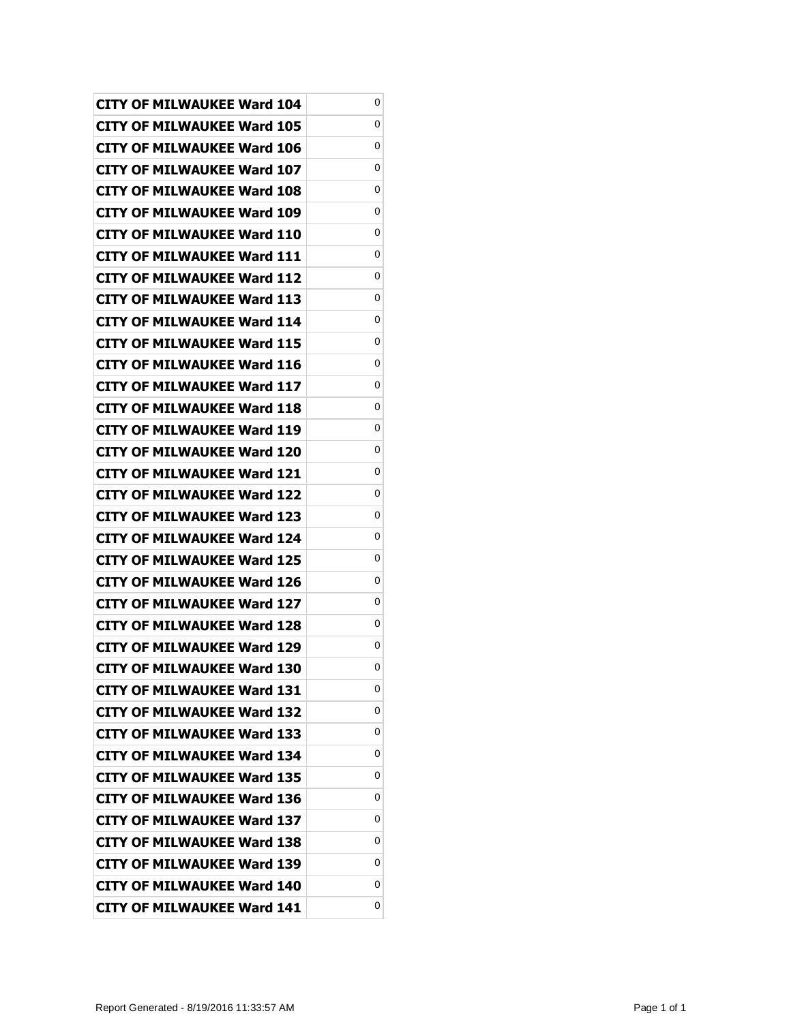| <b>CITY OF MILWAUKEE Ward 104</b> | 0 |
|-----------------------------------|---|
| <b>CITY OF MILWAUKEE Ward 105</b> | 0 |
| <b>CITY OF MILWAUKEE Ward 106</b> | 0 |
| <b>CITY OF MILWAUKEE Ward 107</b> | 0 |
| <b>CITY OF MILWAUKEE Ward 108</b> | 0 |
| CITY OF MILWAUKEE Ward 109        | 0 |
| CITY OF MILWAUKEE Ward 110        | 0 |
| <b>CITY OF MILWAUKEE Ward 111</b> | 0 |
| CITY OF MILWAUKEE Ward 112        | 0 |
| <b>CITY OF MILWAUKEE Ward 113</b> | 0 |
| <b>CITY OF MILWAUKEE Ward 114</b> | 0 |
| CITY OF MILWAUKEE Ward 115        | 0 |
| <b>CITY OF MILWAUKEE Ward 116</b> | 0 |
| CITY OF MILWAUKEE Ward 117        | 0 |
| <b>CITY OF MILWAUKEE Ward 118</b> | 0 |
| <b>CITY OF MILWAUKEE Ward 119</b> | 0 |
| CITY OF MILWAUKEE Ward 120        | 0 |
| <b>CITY OF MILWAUKEE Ward 121</b> | 0 |
| <b>CITY OF MILWAUKEE Ward 122</b> | 0 |
| <b>CITY OF MILWAUKEE Ward 123</b> | 0 |
| <b>CITY OF MILWAUKEE Ward 124</b> | 0 |
| CITY OF MILWAUKEE Ward 125        | 0 |
| CITY OF MILWAUKEE Ward 126        | 0 |
| CITY OF MILWAUKEE Ward 127        | 0 |
| CITY OF MILWAUKEE Ward 128        | 0 |
| <b>CITY OF MILWAUKEE Ward 129</b> | 0 |
| <b>CITY OF MILWAUKEE Ward 130</b> | 0 |
| <b>CITY OF MILWAUKEE Ward 131</b> | 0 |
| <b>CITY OF MILWAUKEE Ward 132</b> | 0 |
| <b>CITY OF MILWAUKEE Ward 133</b> | 0 |
| <b>CITY OF MILWAUKEE Ward 134</b> | 0 |
| <b>CITY OF MILWAUKEE Ward 135</b> | 0 |
| <b>CITY OF MILWAUKEE Ward 136</b> | 0 |
| <b>CITY OF MILWAUKEE Ward 137</b> | 0 |
| <b>CITY OF MILWAUKEE Ward 138</b> | 0 |
| <b>CITY OF MILWAUKEE Ward 139</b> | 0 |
| <b>CITY OF MILWAUKEE Ward 140</b> | 0 |
| <b>CITY OF MILWAUKEE Ward 141</b> | 0 |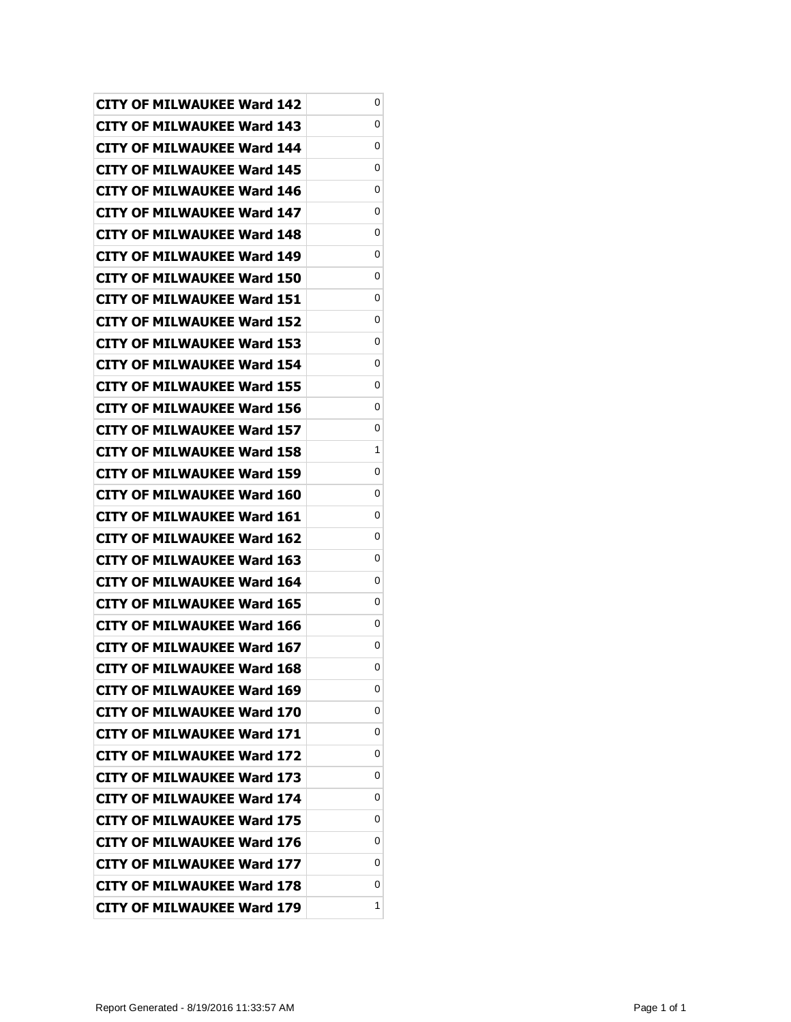| <b>CITY OF MILWAUKEE Ward 142</b> | 0 |
|-----------------------------------|---|
| CITY OF MILWAUKEE Ward 143        | 0 |
| <b>CITY OF MILWAUKEE Ward 144</b> | 0 |
| <b>CITY OF MILWAUKEE Ward 145</b> | 0 |
| <b>CITY OF MILWAUKEE Ward 146</b> | 0 |
| CITY OF MILWAUKEE Ward 147        | 0 |
| CITY OF MILWAUKEE Ward 148        | 0 |
| <b>CITY OF MILWAUKEE Ward 149</b> | 0 |
| CITY OF MILWAUKEE Ward 150        | 0 |
| CITY OF MILWAUKEE Ward 151        | 0 |
| <b>CITY OF MILWAUKEE Ward 152</b> | 0 |
| CITY OF MILWAUKEE Ward 153        | 0 |
| <b>CITY OF MILWAUKEE Ward 154</b> | 0 |
| <b>CITY OF MILWAUKEE Ward 155</b> | 0 |
| <b>CITY OF MILWAUKEE Ward 156</b> | 0 |
| CITY OF MILWAUKEE Ward 157        | 0 |
| <b>CITY OF MILWAUKEE Ward 158</b> | 1 |
| <b>CITY OF MILWAUKEE Ward 159</b> | 0 |
| CITY OF MILWAUKEE Ward 160        | 0 |
| <b>CITY OF MILWAUKEE Ward 161</b> | 0 |
| <b>CITY OF MILWAUKEE Ward 162</b> | 0 |
| CITY OF MILWAUKEE Ward 163        | 0 |
| CITY OF MILWAUKEE Ward 164        | 0 |
| CITY OF MILWAUKEE Ward 165        | 0 |
| CITY OF MILWAUKEE Ward 166        | 0 |
| <b>CITY OF MILWAUKEE Ward 167</b> | 0 |
| <b>CITY OF MILWAUKEE Ward 168</b> | 0 |
| <b>CITY OF MILWAUKEE Ward 169</b> | 0 |
| <b>CITY OF MILWAUKEE Ward 170</b> | 0 |
| <b>CITY OF MILWAUKEE Ward 171</b> | 0 |
| <b>CITY OF MILWAUKEE Ward 172</b> | 0 |
| <b>CITY OF MILWAUKEE Ward 173</b> | 0 |
| <b>CITY OF MILWAUKEE Ward 174</b> | 0 |
| <b>CITY OF MILWAUKEE Ward 175</b> | 0 |
| <b>CITY OF MILWAUKEE Ward 176</b> | 0 |
| <b>CITY OF MILWAUKEE Ward 177</b> | 0 |
| <b>CITY OF MILWAUKEE Ward 178</b> | 0 |
| <b>CITY OF MILWAUKEE Ward 179</b> | 1 |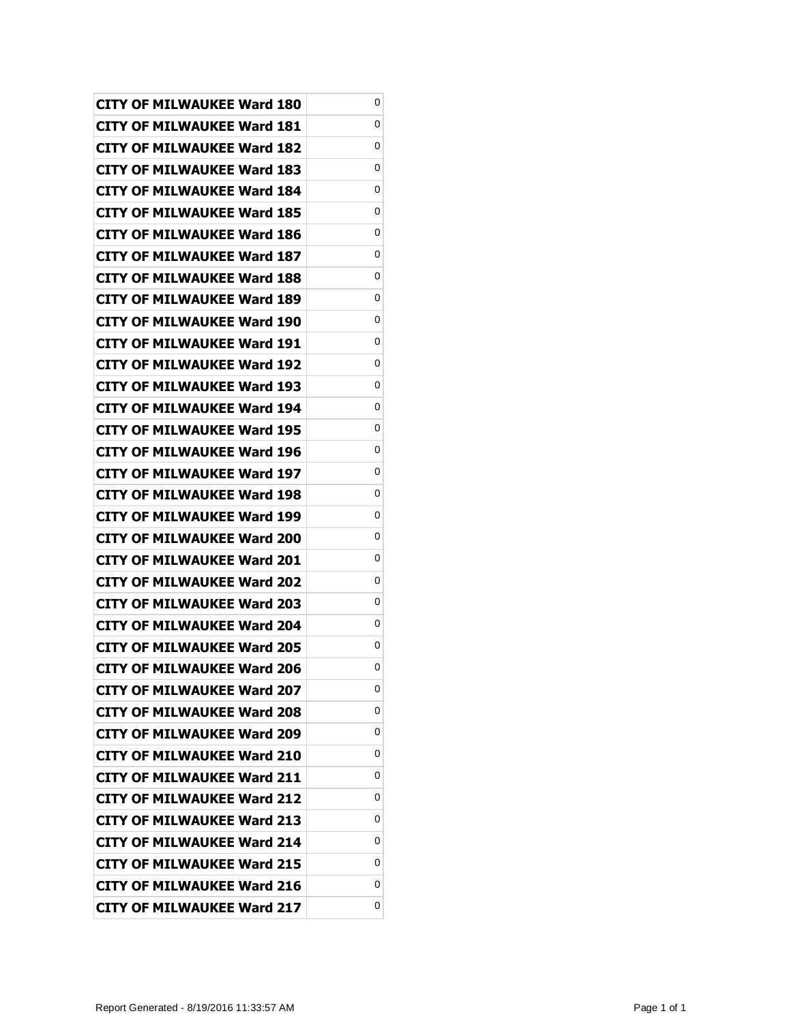| <b>CITY OF MILWAUKEE Ward 180</b> | 0 |
|-----------------------------------|---|
| CITY OF MILWAUKEE Ward 181        | 0 |
| <b>CITY OF MILWAUKEE Ward 182</b> | 0 |
| <b>CITY OF MILWAUKEE Ward 183</b> | 0 |
| <b>CITY OF MILWAUKEE Ward 184</b> | 0 |
| CITY OF MILWAUKEE Ward 185        | 0 |
| CITY OF MILWAUKEE Ward 186        | 0 |
| <b>CITY OF MILWAUKEE Ward 187</b> | 0 |
| <b>CITY OF MILWAUKEE Ward 188</b> | 0 |
| <b>CITY OF MILWAUKEE Ward 189</b> | 0 |
| <b>CITY OF MILWAUKEE Ward 190</b> | 0 |
| CITY OF MILWAUKEE Ward 191        | 0 |
| <b>CITY OF MILWAUKEE Ward 192</b> | 0 |
| <b>CITY OF MILWAUKEE Ward 193</b> | 0 |
| <b>CITY OF MILWAUKEE Ward 194</b> | 0 |
| <b>CITY OF MILWAUKEE Ward 195</b> | 0 |
| CITY OF MILWAUKEE Ward 196        | 0 |
| <b>CITY OF MILWAUKEE Ward 197</b> | 0 |
| <b>CITY OF MILWAUKEE Ward 198</b> | 0 |
| <b>CITY OF MILWAUKEE Ward 199</b> | 0 |
| <b>CITY OF MILWAUKEE Ward 200</b> | 0 |
| CITY OF MILWAUKEE Ward 201        | 0 |
| CITY OF MILWAUKEE Ward 202        | 0 |
| <b>CITY OF MILWAUKEE Ward 203</b> | 0 |
| CITY OF MILWAUKEE Ward 204        | 0 |
| <b>CITY OF MILWAUKEE Ward 205</b> | 0 |
| <b>CITY OF MILWAUKEE Ward 206</b> | 0 |
| <b>CITY OF MILWAUKEE Ward 207</b> | 0 |
| <b>CITY OF MILWAUKEE Ward 208</b> | 0 |
| <b>CITY OF MILWAUKEE Ward 209</b> | 0 |
| <b>CITY OF MILWAUKEE Ward 210</b> | 0 |
| <b>CITY OF MILWAUKEE Ward 211</b> | 0 |
| <b>CITY OF MILWAUKEE Ward 212</b> | 0 |
| <b>CITY OF MILWAUKEE Ward 213</b> | 0 |
| <b>CITY OF MILWAUKEE Ward 214</b> | 0 |
| <b>CITY OF MILWAUKEE Ward 215</b> | 0 |
| <b>CITY OF MILWAUKEE Ward 216</b> | 0 |
| <b>CITY OF MILWAUKEE Ward 217</b> | 0 |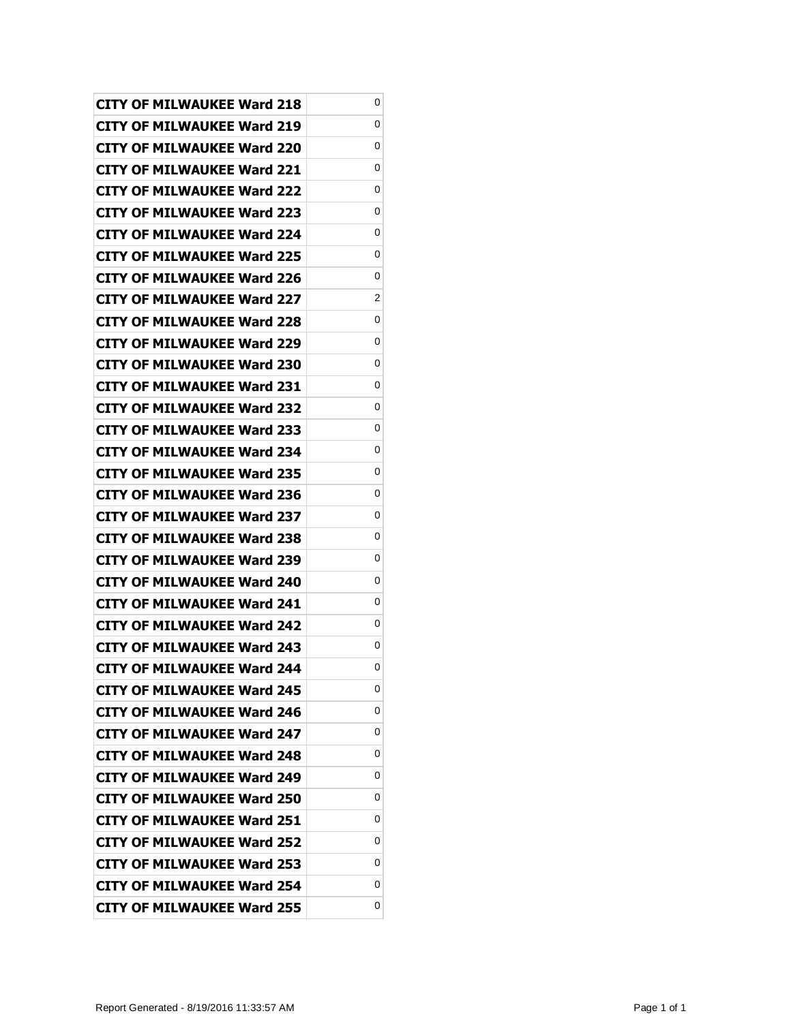| <b>CITY OF MILWAUKEE Ward 218</b> | 0 |
|-----------------------------------|---|
| <b>CITY OF MILWAUKEE Ward 219</b> | 0 |
| <b>CITY OF MILWAUKEE Ward 220</b> | 0 |
| <b>CITY OF MILWAUKEE Ward 221</b> | 0 |
| <b>CITY OF MILWAUKEE Ward 222</b> | 0 |
| CITY OF MILWAUKEE Ward 223        | 0 |
| <b>CITY OF MILWAUKEE Ward 224</b> | 0 |
| <b>CITY OF MILWAUKEE Ward 225</b> | 0 |
| <b>CITY OF MILWAUKEE Ward 226</b> | 0 |
| <b>CITY OF MILWAUKEE Ward 227</b> | 2 |
| <b>CITY OF MILWAUKEE Ward 228</b> | 0 |
| CITY OF MILWAUKEE Ward 229        | 0 |
| <b>CITY OF MILWAUKEE Ward 230</b> | 0 |
| <b>CITY OF MILWAUKEE Ward 231</b> | 0 |
| <b>CITY OF MILWAUKEE Ward 232</b> | 0 |
| CITY OF MILWAUKEE Ward 233        | 0 |
| <b>CITY OF MILWAUKEE Ward 234</b> | 0 |
| <b>CITY OF MILWAUKEE Ward 235</b> | 0 |
| <b>CITY OF MILWAUKEE Ward 236</b> | 0 |
| <b>CITY OF MILWAUKEE Ward 237</b> | 0 |
| <b>CITY OF MILWAUKEE Ward 238</b> | 0 |
| <b>CITY OF MILWAUKEE Ward 239</b> | 0 |
| CITY OF MILWAUKEE Ward 240        | 0 |
| <b>CITY OF MILWAUKEE Ward 241</b> | 0 |
| <b>CITY OF MILWAUKEE Ward 242</b> | 0 |
| <b>CITY OF MILWAUKEE Ward 243</b> | 0 |
| <b>CITY OF MILWAUKEE Ward 244</b> | 0 |
| <b>CITY OF MILWAUKEE Ward 245</b> | 0 |
| <b>CITY OF MILWAUKEE Ward 246</b> | 0 |
| <b>CITY OF MILWAUKEE Ward 247</b> | 0 |
| <b>CITY OF MILWAUKEE Ward 248</b> | 0 |
| <b>CITY OF MILWAUKEE Ward 249</b> | 0 |
| <b>CITY OF MILWAUKEE Ward 250</b> | 0 |
| <b>CITY OF MILWAUKEE Ward 251</b> | 0 |
| <b>CITY OF MILWAUKEE Ward 252</b> | 0 |
| <b>CITY OF MILWAUKEE Ward 253</b> | 0 |
| <b>CITY OF MILWAUKEE Ward 254</b> | 0 |
| <b>CITY OF MILWAUKEE Ward 255</b> | 0 |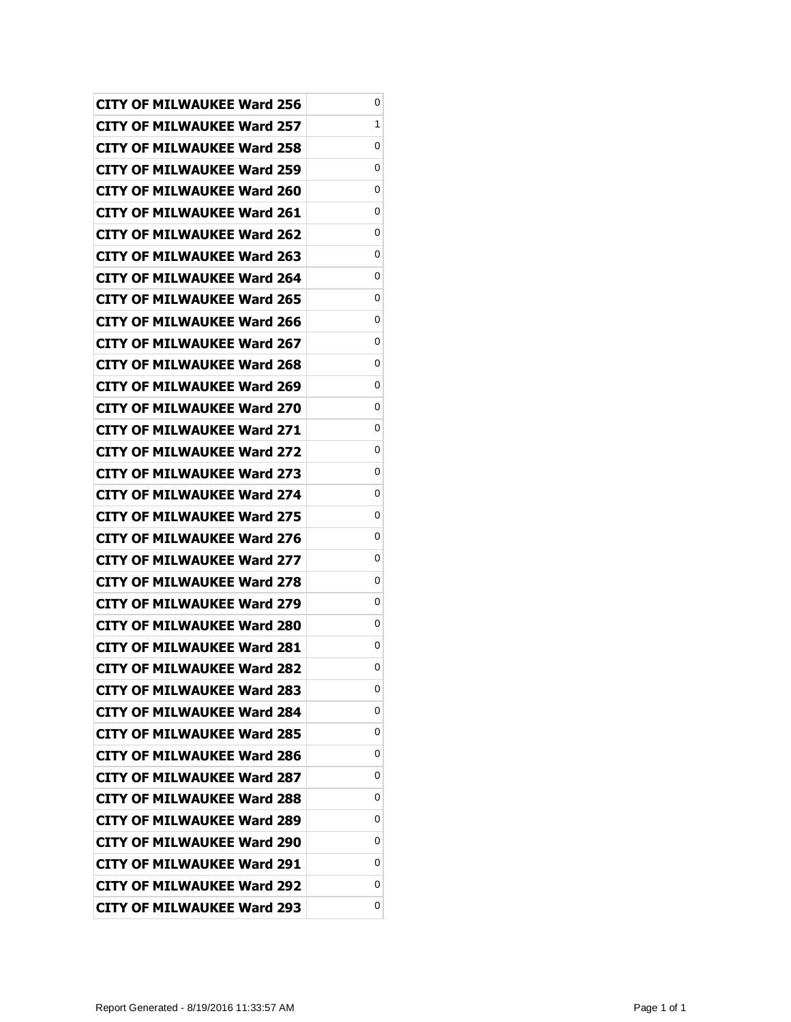| <b>CITY OF MILWAUKEE Ward 256</b> | 0 |
|-----------------------------------|---|
| <b>CITY OF MILWAUKEE Ward 257</b> | 1 |
| <b>CITY OF MILWAUKEE Ward 258</b> | 0 |
| <b>CITY OF MILWAUKEE Ward 259</b> | 0 |
| <b>CITY OF MILWAUKEE Ward 260</b> | 0 |
| <b>CITY OF MILWAUKEE Ward 261</b> | 0 |
| <b>CITY OF MILWAUKEE Ward 262</b> | 0 |
| <b>CITY OF MILWAUKEE Ward 263</b> | 0 |
| <b>CITY OF MILWAUKEE Ward 264</b> | 0 |
| <b>CITY OF MILWAUKEE Ward 265</b> | 0 |
| <b>CITY OF MILWAUKEE Ward 266</b> | 0 |
| <b>CITY OF MILWAUKEE Ward 267</b> | 0 |
| <b>CITY OF MILWAUKEE Ward 268</b> | 0 |
| CITY OF MILWAUKEE Ward 269        | 0 |
| CITY OF MILWAUKEE Ward 270        | 0 |
| <b>CITY OF MILWAUKEE Ward 271</b> | 0 |
| <b>CITY OF MILWAUKEE Ward 272</b> | 0 |
| <b>CITY OF MILWAUKEE Ward 273</b> | 0 |
| <b>CITY OF MILWAUKEE Ward 274</b> | 0 |
| <b>CITY OF MILWAUKEE Ward 275</b> | 0 |
| <b>CITY OF MILWAUKEE Ward 276</b> | 0 |
| <b>CITY OF MILWAUKEE Ward 277</b> | 0 |
| <b>CITY OF MILWAUKEE Ward 278</b> | 0 |
| CITY OF MILWAUKEE Ward 279        | 0 |
| <b>CITY OF MILWAUKEE Ward 280</b> | 0 |
| <b>CITY OF MILWAUKEE Ward 281</b> | 0 |
| <b>CITY OF MILWAUKEE Ward 282</b> | 0 |
| <b>CITY OF MILWAUKEE Ward 283</b> | 0 |
| <b>CITY OF MILWAUKEE Ward 284</b> | 0 |
| <b>CITY OF MILWAUKEE Ward 285</b> | 0 |
| <b>CITY OF MILWAUKEE Ward 286</b> | 0 |
| <b>CITY OF MILWAUKEE Ward 287</b> | 0 |
| <b>CITY OF MILWAUKEE Ward 288</b> | 0 |
| CITY OF MILWAUKEE Ward 289        | 0 |
| <b>CITY OF MILWAUKEE Ward 290</b> | 0 |
| <b>CITY OF MILWAUKEE Ward 291</b> | 0 |
| <b>CITY OF MILWAUKEE Ward 292</b> | 0 |
| <b>CITY OF MILWAUKEE Ward 293</b> | 0 |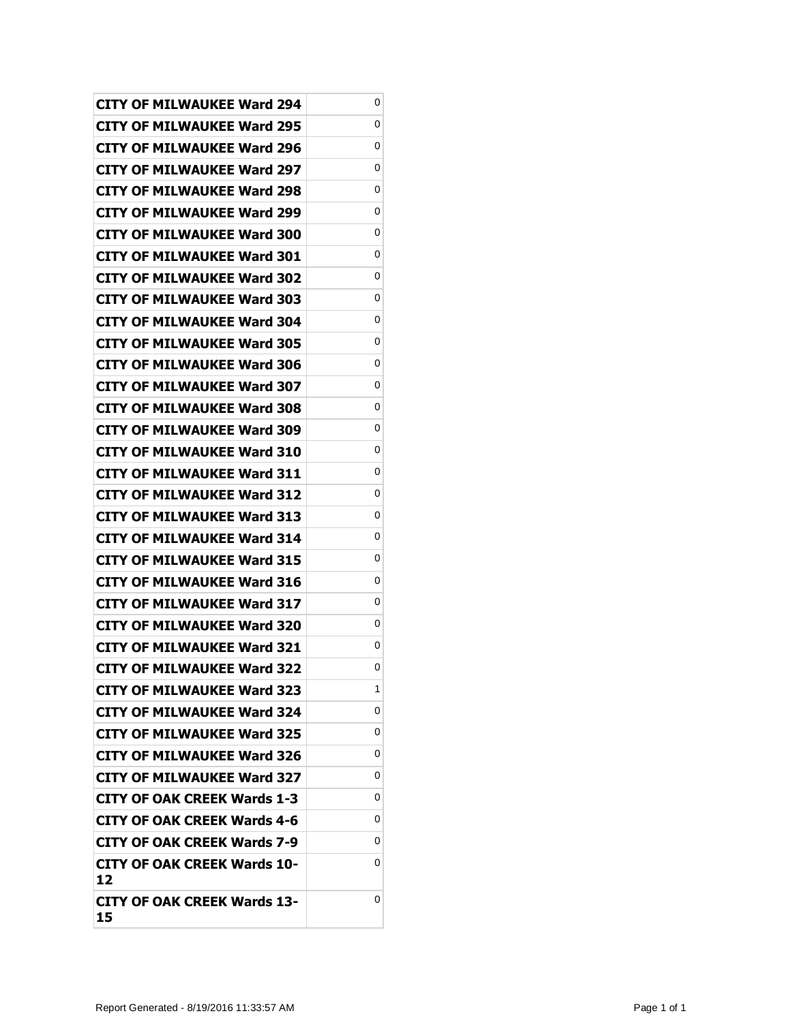| <b>CITY OF MILWAUKEE Ward 294</b>        | 0 |
|------------------------------------------|---|
| CITY OF MILWAUKEE Ward 295               | 0 |
| <b>CITY OF MILWAUKEE Ward 296</b>        | 0 |
| <b>CITY OF MILWAUKEE Ward 297</b>        | 0 |
| <b>CITY OF MILWAUKEE Ward 298</b>        | 0 |
| CITY OF MILWAUKEE Ward 299               | 0 |
| <b>CITY OF MILWAUKEE Ward 300</b>        | 0 |
| <b>CITY OF MILWAUKEE Ward 301</b>        | 0 |
| <b>CITY OF MILWAUKEE Ward 302</b>        | 0 |
| <b>CITY OF MILWAUKEE Ward 303</b>        | 0 |
| <b>CITY OF MILWAUKEE Ward 304</b>        | 0 |
| <b>CITY OF MILWAUKEE Ward 305</b>        | 0 |
| <b>CITY OF MILWAUKEE Ward 306</b>        | 0 |
| <b>CITY OF MILWAUKEE Ward 307</b>        | 0 |
| <b>CITY OF MILWAUKEE Ward 308</b>        | 0 |
| <b>CITY OF MILWAUKEE Ward 309</b>        | 0 |
| CITY OF MILWAUKEE Ward 310               | 0 |
| <b>CITY OF MILWAUKEE Ward 311</b>        | 0 |
| <b>CITY OF MILWAUKEE Ward 312</b>        | 0 |
| <b>CITY OF MILWAUKEE Ward 313</b>        | 0 |
| <b>CITY OF MILWAUKEE Ward 314</b>        | 0 |
| <b>CITY OF MILWAUKEE Ward 315</b>        | 0 |
| CITY OF MILWAUKEE Ward 316               | 0 |
| <b>CITY OF MILWAUKEE Ward 317</b>        | 0 |
| <b>CITY OF MILWAUKEE Ward 320</b>        | 0 |
| <b>CITY OF MILWAUKEE Ward 321</b>        | 0 |
| <b>CITY OF MILWAUKEE Ward 322</b>        | 0 |
| <b>CITY OF MILWAUKEE Ward 323</b>        | 1 |
| <b>CITY OF MILWAUKEE Ward 324</b>        | 0 |
| <b>CITY OF MILWAUKEE Ward 325</b>        | 0 |
| <b>CITY OF MILWAUKEE Ward 326</b>        | 0 |
| <b>CITY OF MILWAUKEE Ward 327</b>        | 0 |
| <b>CITY OF OAK CREEK Wards 1-3</b>       | 0 |
| <b>CITY OF OAK CREEK Wards 4-6</b>       | 0 |
| <b>CITY OF OAK CREEK Wards 7-9</b>       | 0 |
| <b>CITY OF OAK CREEK Wards 10-</b><br>12 | 0 |
| CITY OF OAK CREEK Wards 13-<br>15        | 0 |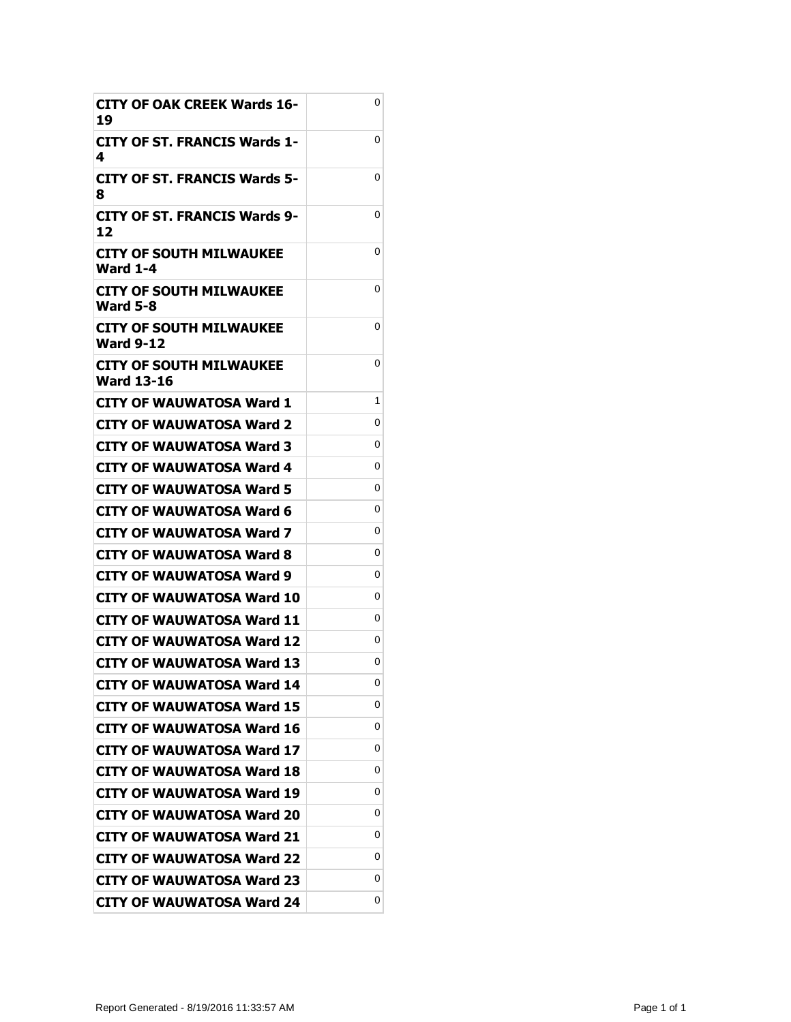| <b>CITY OF OAK CREEK Wards 16-</b><br>19    | 0 |
|---------------------------------------------|---|
| CITY OF ST. FRANCIS Wards 1-<br>4           | 0 |
| <b>CITY OF ST. FRANCIS Wards 5-</b><br>8    | 0 |
| <b>CITY OF ST. FRANCIS Wards 9-</b><br>12   | 0 |
| CITY OF SOUTH MILWAUKEE<br>Ward 1-4         | 0 |
| CITY OF SOUTH MILWAUKEE<br><b>Ward 5-8</b>  | 0 |
| CITY OF SOUTH MILWAUKEE<br><b>Ward 9-12</b> | 0 |
| CITY OF SOUTH MILWAUKEE<br>Ward 13-16       | 0 |
| <b>CITY OF WAUWATOSA Ward 1</b>             | 1 |
| CITY OF WAUWATOSA Ward 2                    | 0 |
| <b>CITY OF WAUWATOSA Ward 3</b>             | 0 |
| CITY OF WAUWATOSA Ward 4                    | 0 |
| CITY OF WAUWATOSA Ward 5                    | 0 |
| <b>CITY OF WAUWATOSA Ward 6</b>             | 0 |
| CITY OF WAUWATOSA Ward 7                    | 0 |
| CITY OF WAUWATOSA Ward 8                    | 0 |
| CITY OF WAUWATOSA Ward 9                    | 0 |
| CITY OF WAUWATOSA Ward 10                   | 0 |
| <b>CITY OF WAUWATOSA Ward 11</b>            | 0 |
| CITY OF WAUWATOSA Ward 12                   | 0 |
| <b>CITY OF WAUWATOSA Ward 13</b>            | 0 |
| <b>CITY OF WAUWATOSA Ward 14</b>            | 0 |
| <b>CITY OF WAUWATOSA Ward 15</b>            | 0 |
| <b>CITY OF WAUWATOSA Ward 16</b>            | 0 |
| <b>CITY OF WAUWATOSA Ward 17</b>            | 0 |
| CITY OF WAUWATOSA Ward 18                   | 0 |
| CITY OF WAUWATOSA Ward 19                   | 0 |
| <b>CITY OF WAUWATOSA Ward 20</b>            | 0 |
| <b>CITY OF WAUWATOSA Ward 21</b>            | 0 |
| <b>CITY OF WAUWATOSA Ward 22</b>            | 0 |
| CITY OF WAUWATOSA Ward 23                   | 0 |
| <b>CITY OF WAUWATOSA Ward 24</b>            | 0 |